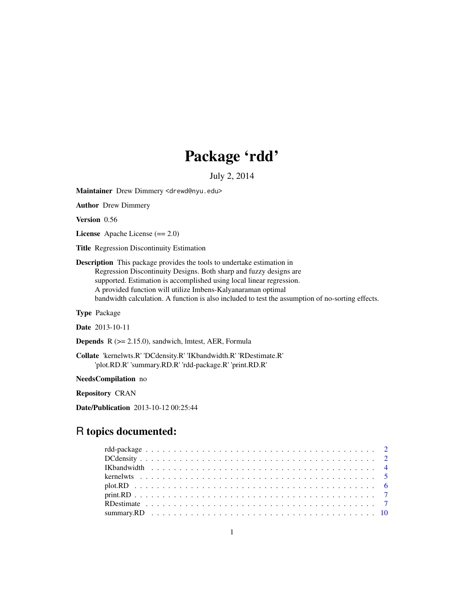# Package 'rdd'

July 2, 2014

<span id="page-0-0"></span>Maintainer Drew Dimmery <drewd@nyu.edu>

Author Drew Dimmery

Version 0.56

License Apache License (== 2.0)

Title Regression Discontinuity Estimation

Description This package provides the tools to undertake estimation in Regression Discontinuity Designs. Both sharp and fuzzy designs are supported. Estimation is accomplished using local linear regression. A provided function will utilize Imbens-Kalyanaraman optimal bandwidth calculation. A function is also included to test the assumption of no-sorting effects.

Type Package

Date 2013-10-11

**Depends**  $R$  ( $>= 2.15.0$ ), sandwich, lmtest, AER, Formula

Collate 'kernelwts.R' 'DCdensity.R' 'IKbandwidth.R' 'RDestimate.R' 'plot.RD.R' 'summary.RD.R' 'rdd-package.R' 'print.RD.R'

NeedsCompilation no

Repository CRAN

Date/Publication 2013-10-12 00:25:44

# R topics documented: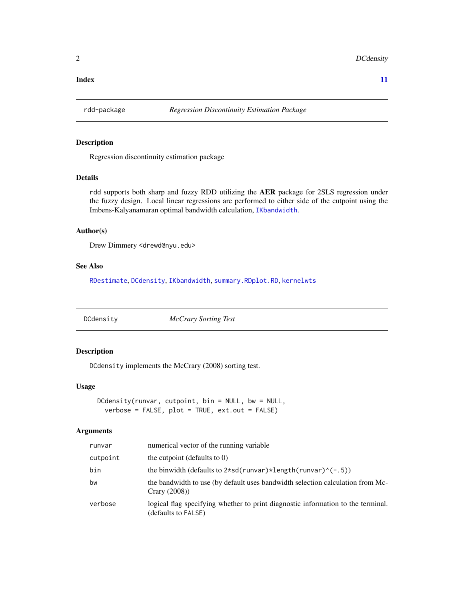#### <span id="page-1-0"></span>**Index** [11](#page-10-0)

# Description

Regression discontinuity estimation package

#### Details

rdd supports both sharp and fuzzy RDD utilizing the AER package for 2SLS regression under the fuzzy design. Local linear regressions are performed to either side of the cutpoint using the Imbens-Kalyanamaran optimal bandwidth calculation, [IKbandwidth](#page-3-1).

#### Author(s)

Drew Dimmery <drewd@nyu.edu>

# See Also

[RDestimate](#page-6-1), [DCdensity](#page-1-1), [IKbandwidth](#page-3-1), [summary.RD](#page-9-1)[plot.RD](#page-5-1), [kernelwts](#page-4-1)

<span id="page-1-1"></span>DCdensity *McCrary Sorting Test*

#### Description

DCdensity implements the McCrary (2008) sorting test.

#### Usage

DCdensity(runvar, cutpoint, bin = NULL, bw = NULL, verbose = FALSE, plot = TRUE, ext.out = FALSE)

#### Arguments

| runvar   | numerical vector of the running variable                                                                |
|----------|---------------------------------------------------------------------------------------------------------|
| cutpoint | the cutpoint (defaults to $0$ )                                                                         |
| bin      | the binwidth (defaults to $2*sd(runvar)*length(runvar)^(-.5)$ )                                         |
| bw       | the bandwidth to use (by default uses bandwidth selection calculation from Mc-<br>Crary $(2008)$        |
| verbose  | logical flag specifying whether to print diagnostic information to the terminal.<br>(defaults to FALSE) |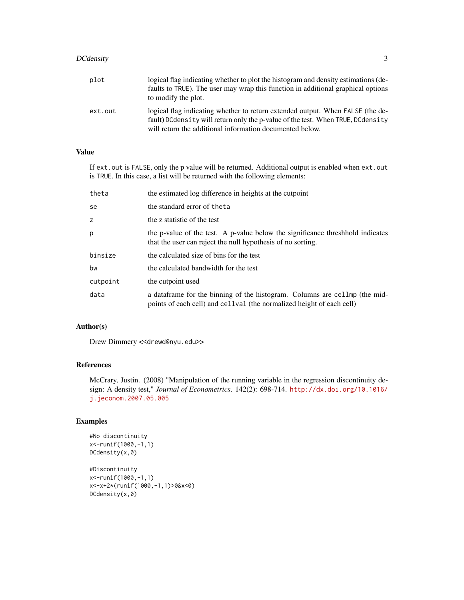# DCdensity 3

| plot    | logical flag indicating whether to plot the histogram and density estimations (de-<br>faults to TRUE). The user may wrap this function in additional graphical options<br>to modify the plot.                                 |
|---------|-------------------------------------------------------------------------------------------------------------------------------------------------------------------------------------------------------------------------------|
| ext.out | logical flag indicating whether to return extended output. When FALSE (the de-<br>fault) DCdensity will return only the p-value of the test. When TRUE, DCdensity<br>will return the additional information documented below. |

# Value

If ext.out is FALSE, only the p value will be returned. Additional output is enabled when ext.out is TRUE. In this case, a list will be returned with the following elements:

| theta    | the estimated log difference in heights at the cutpoint                                                                                               |
|----------|-------------------------------------------------------------------------------------------------------------------------------------------------------|
| se       | the standard error of the ta                                                                                                                          |
| z        | the z statistic of the test                                                                                                                           |
| p        | the p-value of the test. A p-value below the significance threshhold indicates<br>that the user can reject the null hypothesis of no sorting.         |
| binsize  | the calculated size of bins for the test                                                                                                              |
| bw       | the calculated bandwidth for the test                                                                                                                 |
| cutpoint | the cutpoint used                                                                                                                                     |
| data     | a data frame for the binning of the histogram. Columns are cell mp (the mid-<br>points of each cell) and cellval (the normalized height of each cell) |

# Author(s)

Drew Dimmery << drewd@nyu.edu>>

# References

McCrary, Justin. (2008) "Manipulation of the running variable in the regression discontinuity design: A density test," *Journal of Econometrics*. 142(2): 698-714. [http://dx.doi.org/10.1016/](http://dx.doi.org/10.1016/j.jeconom.2007.05.005) [j.jeconom.2007.05.005](http://dx.doi.org/10.1016/j.jeconom.2007.05.005)

# Examples

```
#No discontinuity
x<-runif(1000,-1,1)
DCdensity(x,0)
```

```
#Discontinuity
x<-runif(1000,-1,1)
x<-x+2*(runif(1000,-1,1)>0&x<0)
DCdensity(x,0)
```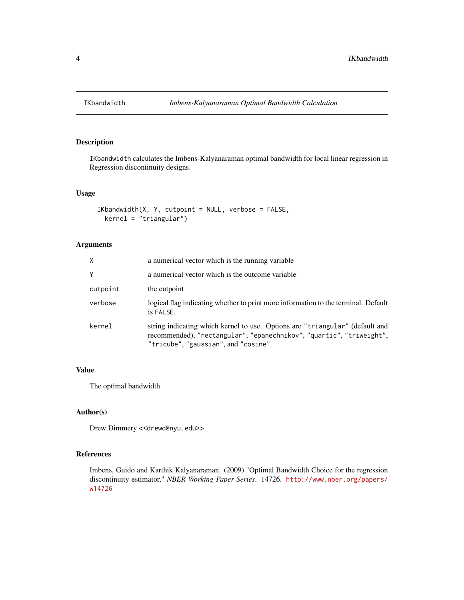<span id="page-3-1"></span><span id="page-3-0"></span>

IKbandwidth calculates the Imbens-Kalyanaraman optimal bandwidth for local linear regression in Regression discontinuity designs.

#### Usage

```
IKbandwidth(X, Y, cutpoint = NULL, verbose = FALSE,kernel = "triangular")
```
# Arguments

| X        | a numerical vector which is the running variable                                                                                                                                             |
|----------|----------------------------------------------------------------------------------------------------------------------------------------------------------------------------------------------|
| Y        | a numerical vector which is the outcome variable                                                                                                                                             |
| cutpoint | the cutpoint                                                                                                                                                                                 |
| verbose  | logical flag indicating whether to print more information to the terminal. Default<br>is FALSE.                                                                                              |
| kernel   | string indicating which kernel to use. Options are "triangular" (default and<br>recommended), "rectangular", "epanechnikov", "quartic", "triweight",<br>"tricube", "gaussian", and "cosine". |

# Value

The optimal bandwidth

# Author(s)

Drew Dimmery << drewd@nyu.edu>>

# References

Imbens, Guido and Karthik Kalyanaraman. (2009) "Optimal Bandwidth Choice for the regression discontinuity estimator," *NBER Working Paper Series*. 14726. [http://www.nber.org/papers/](http://www.nber.org/papers/w14726) [w14726](http://www.nber.org/papers/w14726)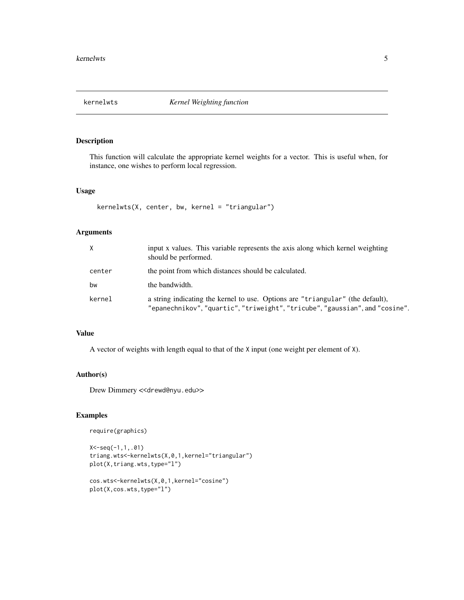<span id="page-4-1"></span><span id="page-4-0"></span>

This function will calculate the appropriate kernel weights for a vector. This is useful when, for instance, one wishes to perform local regression.

#### Usage

```
kernelwts(X, center, bw, kernel = "triangular")
```
# Arguments

| X      | input x values. This variable represents the axis along which kernel weighting<br>should be performed.                                                         |
|--------|----------------------------------------------------------------------------------------------------------------------------------------------------------------|
| center | the point from which distances should be calculated.                                                                                                           |
| bw     | the bandwidth.                                                                                                                                                 |
| kernel | a string indicating the kernel to use. Options are "triangular" (the default),<br>"epanechnikov", "quartic", "triweight", "tricube", "gaussian", and "cosine". |

# Value

A vector of weights with length equal to that of the X input (one weight per element of X).

#### Author(s)

Drew Dimmery << drewd@nyu.edu>>

#### Examples

```
require(graphics)
```

```
X<-seq(-1,1,.01)
triang.wts<-kernelwts(X,0,1,kernel="triangular")
plot(X,triang.wts,type="l")
```

```
cos.wts<-kernelwts(X,0,1,kernel="cosine")
plot(X,cos.wts,type="l")
```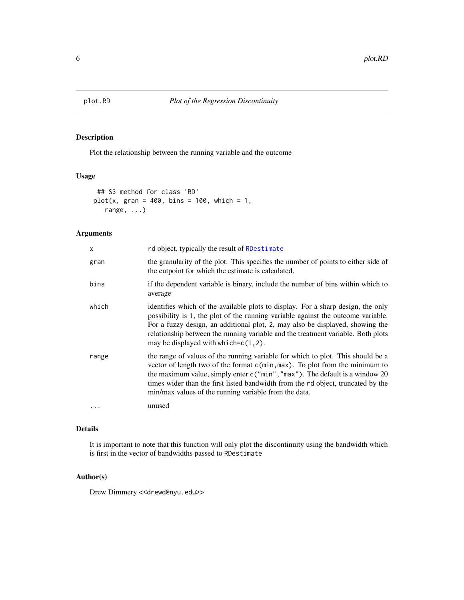<span id="page-5-1"></span><span id="page-5-0"></span>

Plot the relationship between the running variable and the outcome

#### Usage

```
## S3 method for class 'RD'
plot(x, gran = 400, bins = 100, which = 1,range, ...)
```
# Arguments

| x        | rd object, typically the result of RDestimate                                                                                                                                                                                                                                                                                                                                                 |
|----------|-----------------------------------------------------------------------------------------------------------------------------------------------------------------------------------------------------------------------------------------------------------------------------------------------------------------------------------------------------------------------------------------------|
| gran     | the granularity of the plot. This specifies the number of points to either side of<br>the cutpoint for which the estimate is calculated.                                                                                                                                                                                                                                                      |
| bins     | if the dependent variable is binary, include the number of bins within which to<br>average                                                                                                                                                                                                                                                                                                    |
| which    | identifies which of the available plots to display. For a sharp design, the only<br>possibility is 1, the plot of the running variable against the outcome variable.<br>For a fuzzy design, an additional plot, 2, may also be displayed, showing the<br>relationship between the running variable and the treatment variable. Both plots<br>may be displayed with which=c(1,2).              |
| range    | the range of values of the running variable for which to plot. This should be a<br>vector of length two of the format c(min, max). To plot from the minimum to<br>the maximum value, simply enter $c("min", "max")$ . The default is a window 20<br>times wider than the first listed bandwidth from the rd object, truncated by the<br>min/max values of the running variable from the data. |
| $\cdots$ | unused                                                                                                                                                                                                                                                                                                                                                                                        |

# Details

It is important to note that this function will only plot the discontinuity using the bandwidth which is first in the vector of bandwidths passed to RDestimate

#### Author(s)

Drew Dimmery << drewd@nyu.edu>>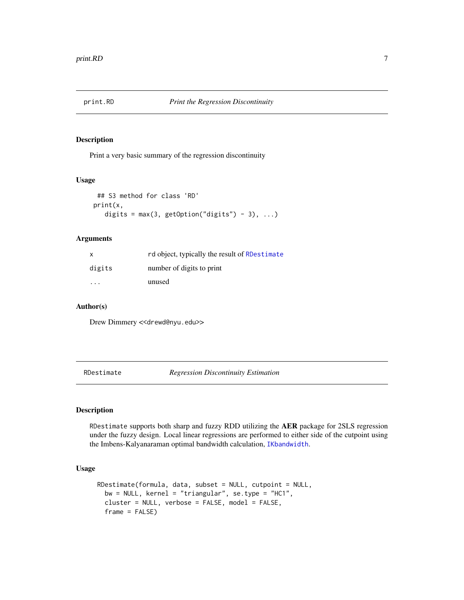<span id="page-6-0"></span>

Print a very basic summary of the regression discontinuity

#### Usage

```
## S3 method for class 'RD'
print(x,
   digits = max(3, getOption("digits") - 3), ...
```
# Arguments

| X      | rd object, typically the result of RDestimate |
|--------|-----------------------------------------------|
| digits | number of digits to print                     |
| .      | unused                                        |

#### Author(s)

Drew Dimmery << drewd@nyu.edu>>

<span id="page-6-1"></span>RDestimate *Regression Discontinuity Estimation*

#### Description

RDestimate supports both sharp and fuzzy RDD utilizing the AER package for 2SLS regression under the fuzzy design. Local linear regressions are performed to either side of the cutpoint using the Imbens-Kalyanaraman optimal bandwidth calculation, [IKbandwidth](#page-3-1).

#### Usage

```
RDestimate(formula, data, subset = NULL, cutpoint = NULL,
 bw = NULL, kernel = "triangular", se.type = "HC1",
  cluster = NULL, verbose = FALSE, model = FALSE,
  frame = FALSE)
```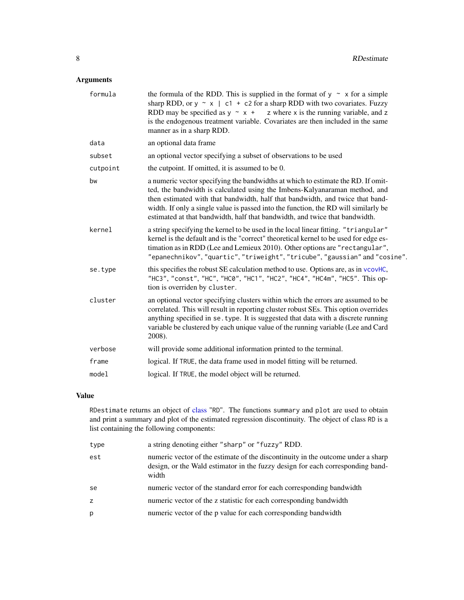# <span id="page-7-0"></span>Arguments

| formula  | the formula of the RDD. This is supplied in the format of $y \sim x$ for a simple<br>sharp RDD, or $y \sim x$   c1 + c2 for a sharp RDD with two covariates. Fuzzy<br>RDD may be specified as $y \sim x + z$ where x is the running variable, and z<br>is the endogenous treatment variable. Covariates are then included in the same<br>manner as in a sharp RDD.                                                    |
|----------|-----------------------------------------------------------------------------------------------------------------------------------------------------------------------------------------------------------------------------------------------------------------------------------------------------------------------------------------------------------------------------------------------------------------------|
| data     | an optional data frame                                                                                                                                                                                                                                                                                                                                                                                                |
| subset   | an optional vector specifying a subset of observations to be used                                                                                                                                                                                                                                                                                                                                                     |
| cutpoint | the cutpoint. If omitted, it is assumed to be 0.                                                                                                                                                                                                                                                                                                                                                                      |
| bw       | a numeric vector specifying the bandwidths at which to estimate the RD. If omit-<br>ted, the bandwidth is calculated using the Imbens-Kalyanaraman method, and<br>then estimated with that bandwidth, half that bandwidth, and twice that band-<br>width. If only a single value is passed into the function, the RD will similarly be<br>estimated at that bandwidth, half that bandwidth, and twice that bandwidth. |
| kernel   | a string specifying the kernel to be used in the local linear fitting. "triangular"<br>kernel is the default and is the "correct" theoretical kernel to be used for edge es-<br>timation as in RDD (Lee and Lemieux 2010). Other options are "rectangular",<br>"epanechnikov", "quartic", "triweight", "tricube", "gaussian" and "cosine".                                                                            |
| se.type  | this specifies the robust SE calculation method to use. Options are, as in vcovHC,<br>"HC3", "const", "HC", "HC0", "HC1", "HC2", "HC4", "HC4m", "HC5". This op-<br>tion is overriden by cluster.                                                                                                                                                                                                                      |
| cluster  | an optional vector specifying clusters within which the errors are assumed to be<br>correlated. This will result in reporting cluster robust SEs. This option overrides<br>anything specified in se. type. It is suggested that data with a discrete running<br>variable be clustered by each unique value of the running variable (Lee and Card<br>2008).                                                            |
| verbose  | will provide some additional information printed to the terminal.                                                                                                                                                                                                                                                                                                                                                     |
| frame    | logical. If TRUE, the data frame used in model fitting will be returned.                                                                                                                                                                                                                                                                                                                                              |
| model    | logical. If TRUE, the model object will be returned.                                                                                                                                                                                                                                                                                                                                                                  |

# Value

RDestimate returns an object of [class](#page-0-0) "RD". The functions summary and plot are used to obtain and print a summary and plot of the estimated regression discontinuity. The object of class RD is a list containing the following components:

| type | a string denoting either "sharp" or "fuzzy" RDD.                                                                                                                            |
|------|-----------------------------------------------------------------------------------------------------------------------------------------------------------------------------|
| est  | numeric vector of the estimate of the discontinuity in the outcome under a sharp<br>design, or the Wald estimator in the fuzzy design for each corresponding band-<br>width |
| se   | numeric vector of the standard error for each corresponding bandwidth                                                                                                       |
| Z.   | numeric vector of the z statistic for each corresponding bandwidth                                                                                                          |
| р    | numeric vector of the p value for each corresponding bandwidth                                                                                                              |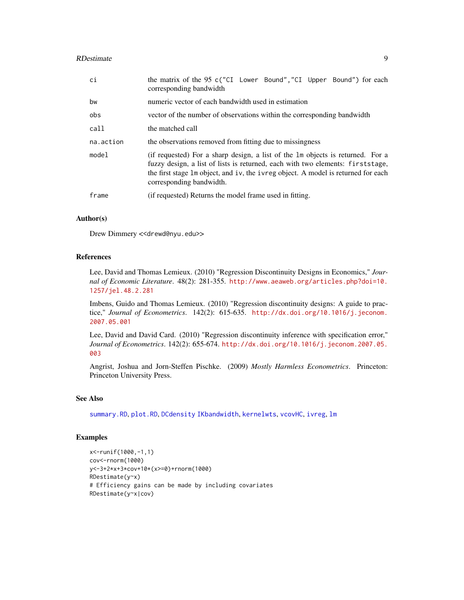#### <span id="page-8-0"></span>RDestimate 9

| ci        | the matrix of the 95 c("CI Lower Bound", "CI Upper Bound") for each<br>corresponding bandwidth                                                                                                                                                                                     |
|-----------|------------------------------------------------------------------------------------------------------------------------------------------------------------------------------------------------------------------------------------------------------------------------------------|
| bw        | numeric vector of each bandwidth used in estimation                                                                                                                                                                                                                                |
| obs       | vector of the number of observations within the corresponding bandwidth                                                                                                                                                                                                            |
| call      | the matched call                                                                                                                                                                                                                                                                   |
| na.action | the observations removed from fitting due to missingness                                                                                                                                                                                                                           |
| model     | (if requested) For a sharp design, a list of the 1m objects is returned. For a<br>fuzzy design, a list of lists is returned, each with two elements: first stage,<br>the first stage 1m object, and iv, the ivreg object. A model is returned for each<br>corresponding bandwidth. |
| frame     | (if requested) Returns the model frame used in fitting.                                                                                                                                                                                                                            |

#### Author(s)

Drew Dimmery << drewd@nyu.edu>>

#### References

Lee, David and Thomas Lemieux. (2010) "Regression Discontinuity Designs in Economics," *Journal of Economic Literature*. 48(2): 281-355. [http://www.aeaweb.org/articles.php?doi=10.](http://www.aeaweb.org/articles.php?doi=10.1257/jel.48.2.281) [1257/jel.48.2.281](http://www.aeaweb.org/articles.php?doi=10.1257/jel.48.2.281)

Imbens, Guido and Thomas Lemieux. (2010) "Regression discontinuity designs: A guide to practice," *Journal of Econometrics*. 142(2): 615-635. [http://dx.doi.org/10.1016/j.jeconom.](http://dx.doi.org/10.1016/j.jeconom.2007.05.001) [2007.05.001](http://dx.doi.org/10.1016/j.jeconom.2007.05.001)

Lee, David and David Card. (2010) "Regression discontinuity inference with specification error," *Journal of Econometrics*. 142(2): 655-674. [http://dx.doi.org/10.1016/j.jeconom.2007.05.](http://dx.doi.org/10.1016/j.jeconom.2007.05.003) [003](http://dx.doi.org/10.1016/j.jeconom.2007.05.003)

Angrist, Joshua and Jorn-Steffen Pischke. (2009) *Mostly Harmless Econometrics*. Princeton: Princeton University Press.

#### See Also

[summary.RD](#page-9-1), [plot.RD](#page-5-1), [DCdensity](#page-1-1) [IKbandwidth](#page-3-1), [kernelwts](#page-4-1), [vcovHC](#page-0-0), [ivreg](#page-0-0), [lm](#page-0-0)

# Examples

```
x<-runif(1000,-1,1)
cov<-rnorm(1000)
y<-3+2*x+3*cov+10*(x>=0)+rnorm(1000)
RDestimate(y~x)
# Efficiency gains can be made by including covariates
RDestimate(y~x|cov)
```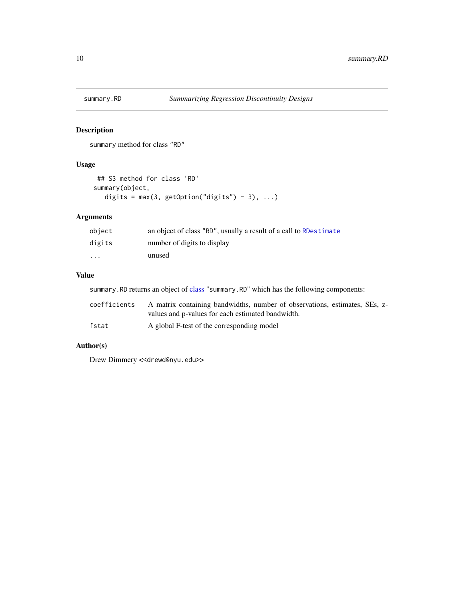<span id="page-9-1"></span><span id="page-9-0"></span>

summary method for class "RD"

# Usage

```
## S3 method for class 'RD'
summary(object,
  digits = max(3, getOption("digits") - 3), ...
```
# Arguments

| object  | an object of class "RD", usually a result of a call to RDestimate |
|---------|-------------------------------------------------------------------|
| digits  | number of digits to display                                       |
| $\cdot$ | unused                                                            |

# Value

summary.RD returns an object of [class](#page-0-0) "summary.RD" which has the following components:

| coefficients | A matrix containing bandwidths, number of observations, estimates, SEs, z-<br>values and p-values for each estimated bandwidth. |
|--------------|---------------------------------------------------------------------------------------------------------------------------------|
| fstat        | A global F-test of the corresponding model                                                                                      |

# Author(s)

Drew Dimmery << drewd@nyu.edu>>